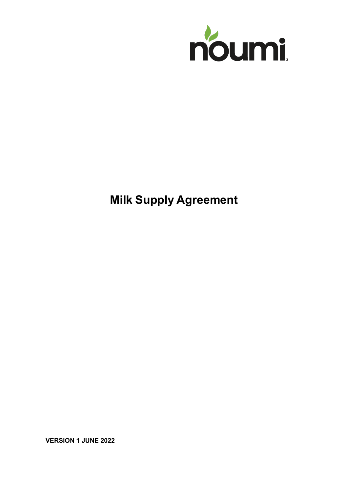

# **Milk Supply Agreement**

**VERSION 1 JUNE 2022**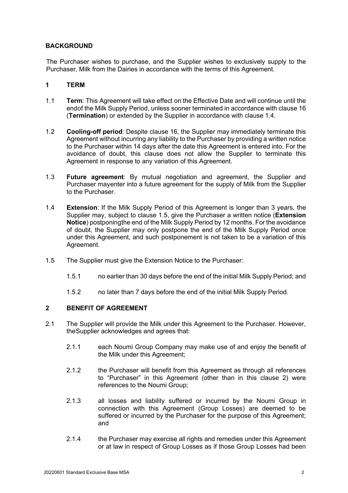# **BACKGROUND**

The Purchaser wishes to purchase, and the Supplier wishes to exclusively supply to the Purchaser, Milk from the Dairies in accordance with the terms of this Agreement.

# **1 TERM**

- <span id="page-1-4"></span>1.1 **Term**: This Agreement will take effect on the Effective Date and will continue until the endof the Milk Supply Period, unless sooner terminated in accordance with clause [16](#page-9-0) (**Termination**) or extended by the Supplier in accordance with clause [1.4.](#page-1-0)
- <span id="page-1-3"></span>1.2 **Cooling-off period**: Despite clause [16,](#page-9-0) the Supplier may immediately terminate this Agreement without incurring any liability to the Purchaser by providing a written notice to the Purchaser within 14 days after the date this Agreement is entered into. For the avoidance of doubt, this clause does not allow the Supplier to terminate this Agreement in response to any variation of this Agreement.
- 1.3 **Future agreement**: By mutual negotiation and agreement, the Supplier and Purchaser mayenter into a future agreement for the supply of Milk from the Supplier to the Purchaser.
- <span id="page-1-0"></span>1.4 **Extension**: If the Milk Supply Period of this Agreement is longer than 3 years, the Supplier may, subject to clause [1.5,](#page-1-1) give the Purchaser a written notice (**Extension Notice**) postponingthe end of the Milk Supply Period by 12 months. For the avoidance of doubt, the Supplier may only postpone the end of the Milk Supply Period once under this Agreement, and such postponement is not taken to be a variation of this Agreement.
- <span id="page-1-1"></span>1.5 The Supplier must give the Extension Notice to the Purchaser:
	- 1.5.1 no earlier than 30 days before the end of the initial Milk Supply Period; and
	- 1.5.2 no later than 7 days before the end of the initial Milk Supply Period.

# <span id="page-1-2"></span>**2 BENEFIT OF AGREEMENT**

- 2.1 The Supplier will provide the Milk under this Agreement to the Purchaser. However, theSupplier acknowledges and agrees that:
	- 2.1.1 each Noumi Group Company may make use of and enjoy the benefit of the Milk under this Agreement;
	- 2.1.2 the Purchaser will benefit from this Agreement as through all references to "Purchaser" in this Agreement (other than in this clause [2\)](#page-1-2) were references to the Noumi Group;
	- 2.1.3 all losses and liability suffered or incurred by the Noumi Group in connection with this Agreement (Group Losses) are deemed to be suffered or incurred by the Purchaser for the purpose of this Agreement; and
	- 2.1.4 the Purchaser may exercise all rights and remedies under this Agreement or at law in respect of Group Losses as if those Group Losses had been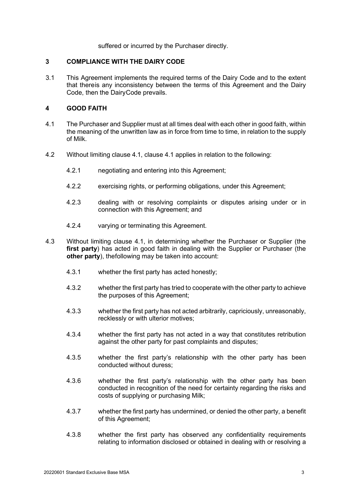suffered or incurred by the Purchaser directly.

### **3 COMPLIANCE WITH THE DAIRY CODE**

3.1 This Agreement implements the required terms of the Dairy Code and to the extent that thereis any inconsistency between the terms of this Agreement and the Dairy Code, then the DairyCode prevails.

# **4 GOOD FAITH**

- <span id="page-2-0"></span>4.1 The Purchaser and Supplier must at all times deal with each other in good faith, within the meaning of the unwritten law as in force from time to time, in relation to the supply of Milk.
- 4.2 Without limiting clause [4.1,](#page-2-0) clause [4.1](#page-2-0) applies in relation to the following:
	- 4.2.1 negotiating and entering into this Agreement;
	- 4.2.2 exercising rights, or performing obligations, under this Agreement;
	- 4.2.3 dealing with or resolving complaints or disputes arising under or in connection with this Agreement; and
	- 4.2.4 varying or terminating this Agreement.
- 4.3 Without limiting clause [4.1,](#page-2-0) in determining whether the Purchaser or Supplier (the **first party**) has acted in good faith in dealing with the Supplier or Purchaser (the **other party**), thefollowing may be taken into account:
	- 4.3.1 whether the first party has acted honestly;
	- 4.3.2 whether the first party has tried to cooperate with the other party to achieve the purposes of this Agreement;
	- 4.3.3 whether the first party has not acted arbitrarily, capriciously, unreasonably, recklessly or with ulterior motives;
	- 4.3.4 whether the first party has not acted in a way that constitutes retribution against the other party for past complaints and disputes;
	- 4.3.5 whether the first party's relationship with the other party has been conducted without duress;
	- 4.3.6 whether the first party's relationship with the other party has been conducted in recognition of the need for certainty regarding the risks and costs of supplying or purchasing Milk;
	- 4.3.7 whether the first party has undermined, or denied the other party, a benefit of this Agreement;
	- 4.3.8 whether the first party has observed any confidentiality requirements relating to information disclosed or obtained in dealing with or resolving a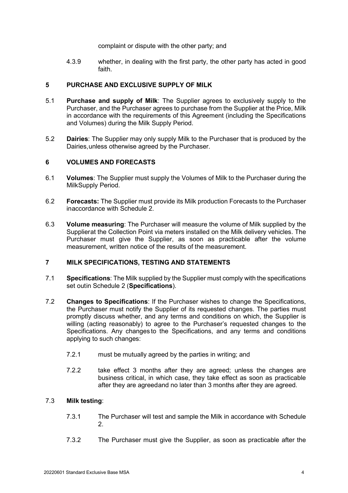complaint or dispute with the other party; and

4.3.9 whether, in dealing with the first party, the other party has acted in good faith.

### <span id="page-3-0"></span>**5 PURCHASE AND EXCLUSIVE SUPPLY OF MILK**

- 5.1 **Purchase and supply of Milk**: The Supplier agrees to exclusively supply to the Purchaser, and the Purchaser agrees to purchase from the Supplier at the Price, Milk in accordance with the requirements of this Agreement (including the Specifications and Volumes) during the Milk Supply Period.
- 5.2 **Dairies**: The Supplier may only supply Milk to the Purchaser that is produced by the Dairies,unless otherwise agreed by the Purchaser.

# **6 VOLUMES AND FORECASTS**

- 6.1 **Volumes**: The Supplier must supply the Volumes of Milk to the Purchaser during the MilkSupply Period.
- 6.2 **Forecasts:** The Supplier must provide its Milk production Forecasts to the Purchaser inaccordance with Schedule 2.
- <span id="page-3-2"></span>6.3 **Volume measuring**: The Purchaser will measure the volume of Milk supplied by the Supplierat the Collection Point via meters installed on the Milk delivery vehicles. The Purchaser must give the Supplier, as soon as practicable after the volume measurement, written notice of the results of the measurement.

# **7 MILK SPECIFICATIONS, TESTING AND STATEMENTS**

- <span id="page-3-1"></span>7.1 **Specifications**: The Milk supplied by the Supplier must comply with the specifications set outin Schedule 2 (**Specifications**).
- 7.2 **Changes to Specifications**: If the Purchaser wishes to change the Specifications, the Purchaser must notify the Supplier of its requested changes. The parties must promptly discuss whether, and any terms and conditions on which, the Supplier is willing (acting reasonably) to agree to the Purchaser's requested changes to the Specifications. Any changes to the Specifications, and any terms and conditions applying to such changes:
	- 7.2.1 must be mutually agreed by the parties in writing; and
	- 7.2.2 take effect 3 months after they are agreed; unless the changes are business critical, in which case, they take effect as soon as practicable after they are agreedand no later than 3 months after they are agreed.

# 7.3 **Milk testing**:

- 7.3.1 The Purchaser will test and sample the Milk in accordance with Schedule 2.
- 7.3.2 The Purchaser must give the Supplier, as soon as practicable after the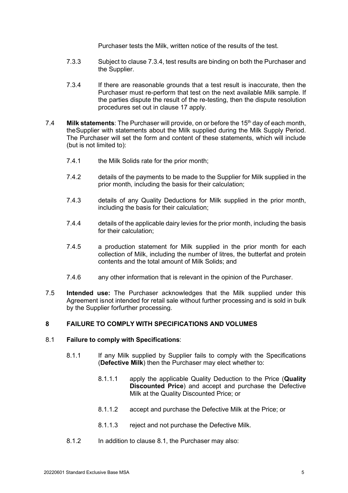Purchaser tests the Milk, written notice of the results of the test.

- 7.3.3 Subject to claus[e 7.3.4,](#page-4-0) test results are binding on both the Purchaser and the Supplier.
- <span id="page-4-0"></span>7.3.4 If there are reasonable grounds that a test result is inaccurate, then the Purchaser must re-perform that test on the next available Milk sample. If the parties dispute the result of the re-testing, then the dispute resolution procedures set out in clause [17](#page-11-0) apply.
- 7.4 **Milk statements**: The Purchaser will provide, on or before the 15<sup>th</sup> day of each month, theSupplier with statements about the Milk supplied during the Milk Supply Period. The Purchaser will set the form and content of these statements, which will include (but is not limited to):
	- 7.4.1 the Milk Solids rate for the prior month;
	- 7.4.2 details of the payments to be made to the Supplier for Milk supplied in the prior month, including the basis for their calculation;
	- 7.4.3 details of any Quality Deductions for Milk supplied in the prior month, including the basis for their calculation;
	- 7.4.4 details of the applicable dairy levies for the prior month, including the basis for their calculation;
	- 7.4.5 a production statement for Milk supplied in the prior month for each collection of Milk, including the number of litres, the butterfat and protein contents and the total amount of Milk Solids; and
	- 7.4.6 any other information that is relevant in the opinion of the Purchaser.
- 7.5 **Intended use:** The Purchaser acknowledges that the Milk supplied under this Agreement isnot intended for retail sale without further processing and is sold in bulk by the Supplier forfurther processing.

# <span id="page-4-2"></span>**8 FAILURE TO COMPLY WITH SPECIFICATIONS AND VOLUMES**

### <span id="page-4-1"></span>8.1 **Failure to comply with Specifications**:

- <span id="page-4-3"></span>8.1.1 If any Milk supplied by Supplier fails to comply with the Specifications (**Defective Milk**) then the Purchaser may elect whether to:
	- 8.1.1.1 apply the applicable Quality Deduction to the Price (**Quality Discounted Price**) and accept and purchase the Defective Milk at the Quality Discounted Price; or
	- 8.1.1.2 accept and purchase the Defective Milk at the Price; or
	- 8.1.1.3 reject and not purchase the Defective Milk.
- 8.1.2 In addition to clause [8.1,](#page-4-1) the Purchaser may also: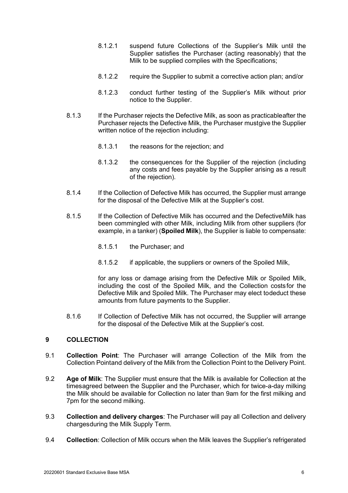- 8.1.2.1 suspend future Collections of the Supplier's Milk until the Supplier satisfies the Purchaser (acting reasonably) that the Milk to be supplied complies with the Specifications;
- 8.1.2.2 require the Supplier to submit a corrective action plan; and/or
- 8.1.2.3 conduct further testing of the Supplier's Milk without prior notice to the Supplier.
- 8.1.3 If the Purchaser rejects the Defective Milk, as soon as practicableafter the Purchaser rejects the Defective Milk, the Purchaser mustgive the Supplier written notice of the rejection including:
	- 8.1.3.1 the reasons for the rejection; and
	- 8.1.3.2 the consequences for the Supplier of the rejection (including any costs and fees payable by the Supplier arising as a result of the rejection).
- 8.1.4 If the Collection of Defective Milk has occurred, the Supplier must arrange for the disposal of the Defective Milk at the Supplier's cost.
- 8.1.5 If the Collection of Defective Milk has occurred and the DefectiveMilk has been commingled with other Milk, including Milk from other suppliers (for example, in a tanker) (**Spoiled Milk**), the Supplier is liable to compensate:
	- 8.1.5.1 the Purchaser; and
	- 8.1.5.2 if applicable, the suppliers or owners of the Spoiled Milk,

for any loss or damage arising from the Defective Milk or Spoiled Milk, including the cost of the Spoiled Milk, and the Collection costsfor the Defective Milk and Spoiled Milk. The Purchaser may elect todeduct these amounts from future payments to the Supplier.

8.1.6 If Collection of Defective Milk has not occurred, the Supplier will arrange for the disposal of the Defective Milk at the Supplier's cost.

# **9 COLLECTION**

- 9.1 **Collection Point**: The Purchaser will arrange Collection of the Milk from the Collection Pointand delivery of the Milk from the Collection Point to the Delivery Point.
- 9.2 **Age of Milk**: The Supplier must ensure that the Milk is available for Collection at the timesagreed between the Supplier and the Purchaser, which for twice-a-day milking the Milk should be available for Collection no later than 9am for the first milking and 7pm for the second milking.
- <span id="page-5-1"></span>9.3 **Collection and delivery charges**: The Purchaser will pay all Collection and delivery chargesduring the Milk Supply Term.
- <span id="page-5-0"></span>9.4 **Collection**: Collection of Milk occurs when the Milk leaves the Supplier's refrigerated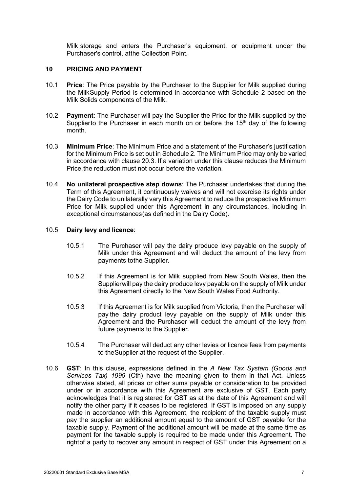Milk storage and enters the Purchaser's equipment, or equipment under the Purchaser's control, atthe Collection Point.

### **10 PRICING AND PAYMENT**

- 10.1 **Price**: The Price payable by the Purchaser to the Supplier for Milk supplied during the MilkSupply Period is determined in accordance with Schedule 2 based on the Milk Solids components of the Milk.
- 10.2 **Payment**: The Purchaser will pay the Supplier the Price for the Milk supplied by the Supplierto the Purchaser in each month on or before the  $15<sup>th</sup>$  day of the following month.
- 10.3 **Minimum Price**: The Minimum Price and a statement of the Purchaser's justification for the Minimum Price is set out in Schedule 2. The Minimum Price may only be varied in accordance with clause [20.3.](#page-14-0) If a variation under this clause reduces the Minimum Price,the reduction must not occur before the variation.
- 10.4 **No unilateral prospective step downs**: The Purchaser undertakes that during the Term of this Agreement, it continuously waives and will not exercise its rights under the Dairy Code to unilaterally vary this Agreement to reduce the prospective Minimum Price for Milk supplied under this Agreement in any circumstances, including in exceptional circumstances(as defined in the Dairy Code).

### <span id="page-6-0"></span>10.5 **Dairy levy and licence**:

- 10.5.1 The Purchaser will pay the dairy produce levy payable on the supply of Milk under this Agreement and will deduct the amount of the levy from payments tothe Supplier.
- 10.5.2 If this Agreement is for Milk supplied from New South Wales, then the Supplierwill pay the dairy produce levy payable on the supply of Milk under this Agreement directly to the New South Wales Food Authority.
- 10.5.3 If this Agreement is for Milk supplied from Victoria, then the Purchaser will pay the dairy product levy payable on the supply of Milk under this Agreement and the Purchaser will deduct the amount of the levy from future payments to the Supplier.
- 10.5.4 The Purchaser will deduct any other levies or licence fees from payments to theSupplier at the request of the Supplier.
- 10.6 **GST**: In this clause, expressions defined in the *A New Tax System (Goods and Services Tax) 1999* (Cth) have the meaning given to them in that Act. Unless otherwise stated, all prices or other sums payable or consideration to be provided under or in accordance with this Agreement are exclusive of GST. Each party acknowledges that it is registered for GST as at the date of this Agreement and will notify the other party if it ceases to be registered. If GST is imposed on any supply made in accordance with this Agreement, the recipient of the taxable supply must pay the supplier an additional amount equal to the amount of GST payable for the taxable supply. Payment of the additional amount will be made at the same time as payment for the taxable supply is required to be made under this Agreement. The rightof a party to recover any amount in respect of GST under this Agreement on a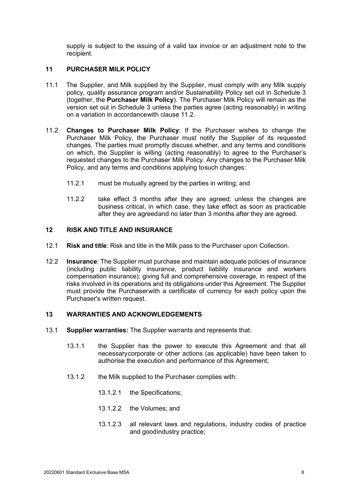supply is subject to the issuing of a valid tax invoice or an adjustment note to the recipient.

# <span id="page-7-1"></span>**11 PURCHASER MILK POLICY**

- <span id="page-7-3"></span>11.1 The Supplier, and Milk supplied by the Supplier, must comply with any Milk supply policy, quality assurance program and/or Sustainability Policy set out in Schedule 3 (together, the **Purchaser Milk Policy**). The Purchaser Milk Policy will remain as the version set out in Schedule 3 unless the parties agree (acting reasonably) in writing on a variation in accordancewith clause [11.2.](#page-7-0)
- <span id="page-7-0"></span>11.2 **Changes to Purchaser Milk Policy**: If the Purchaser wishes to change the Purchaser Milk Policy, the Purchaser must notify the Supplier of its requested changes. The parties must promptly discuss whether, and any terms and conditions on which, the Supplier is willing (acting reasonably) to agree to the Purchaser's requested changes to the Purchaser Milk Policy. Any changes to the Purchaser Milk Policy, and any terms and conditions applying tosuch changes:
	- 11.2.1 must be mutually agreed by the parties in writing; and
	- 11.2.2 take effect 3 months after they are agreed; unless the changes are business critical, in which case, they take effect as soon as practicable after they are agreedand no later than 3 months after they are agreed.

# <span id="page-7-2"></span>**12 RISK AND TITLE AND INSURANCE**

- 12.1 **Risk and title**: Risk and title in the Milk pass to the Purchaser upon Collection.
- 12.2 **Insurance**: The Supplier must purchase and maintain adequate policies of insurance (including public liability insurance, product liability insurance and workers compensation insurance), giving full and comprehensive coverage, in respect of the risks involved in its operations and its obligations under this Agreement. The Supplier must provide the Purchaserwith a certificate of currency for each policy upon the Purchaser's written request.

### **13 WARRANTIES AND ACKNOWLEDGEMENTS**

- 13.1 **Supplier warranties:** The Supplier warrants and represents that:
	- 13.1.1 the Supplier has the power to execute this Agreement and that all necessarycorporate or other actions (as applicable) have been taken to authorise the execution and performance of this Agreement;
	- 13.1.2 the Milk supplied to the Purchaser complies with:
		- 13.1.2.1 the Specifications;
		- 13.1.2.2 the Volumes; and
		- 13.1.2.3 all relevant laws and regulations, industry codes of practice and goodindustry practice;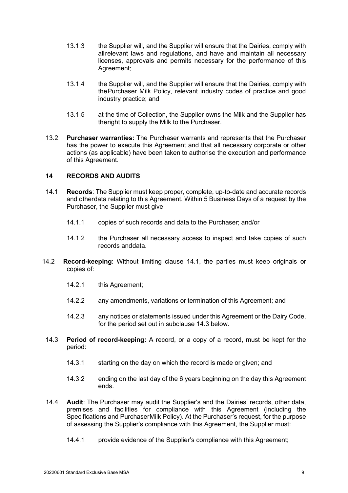- 13.1.3 the Supplier will, and the Supplier will ensure that the Dairies, comply with allrelevant laws and regulations, and have and maintain all necessary licenses, approvals and permits necessary for the performance of this Agreement;
- 13.1.4 the Supplier will, and the Supplier will ensure that the Dairies, comply with thePurchaser Milk Policy, relevant industry codes of practice and good industry practice; and
- 13.1.5 at the time of Collection, the Supplier owns the Milk and the Supplier has theright to supply the Milk to the Purchaser.
- 13.2 **Purchaser warranties:** The Purchaser warrants and represents that the Purchaser has the power to execute this Agreement and that all necessary corporate or other actions (as applicable) have been taken to authorise the execution and performance of this Agreement.

# <span id="page-8-2"></span>**14 RECORDS AND AUDITS**

- <span id="page-8-0"></span>14.1 **Records**: The Supplier must keep proper, complete, up-to-date and accurate records and otherdata relating to this Agreement. Within 5 Business Days of a request by the Purchaser, the Supplier must give:
	- 14.1.1 copies of such records and data to the Purchaser; and/or
	- 14.1.2 the Purchaser all necessary access to inspect and take copies of such records anddata.
- 14.2 **Record-keeping**: Without limiting clause [14.1,](#page-8-0) the parties must keep originals or copies of:
	- 14.2.1 this Agreement;
	- 14.2.2 any amendments, variations or termination of this Agreement; and
	- 14.2.3 any notices or statements issued under this Agreement or the Dairy Code, for the period set out in subclause [14.3](#page-8-1) below.
- <span id="page-8-1"></span>14.3 **Period of record-keeping:** A record, or a copy of a record, must be kept for the period:
	- 14.3.1 starting on the day on which the record is made or given; and
	- 14.3.2 ending on the last day of the 6 years beginning on the day this Agreement ends.
- 14.4 **Audit**: The Purchaser may audit the Supplier's and the Dairies' records, other data, premises and facilities for compliance with this Agreement (including the Specifications and PurchaserMilk Policy). At the Purchaser's request, for the purpose of assessing the Supplier's compliance with this Agreement, the Supplier must:
	- 14.4.1 provide evidence of the Supplier's compliance with this Agreement;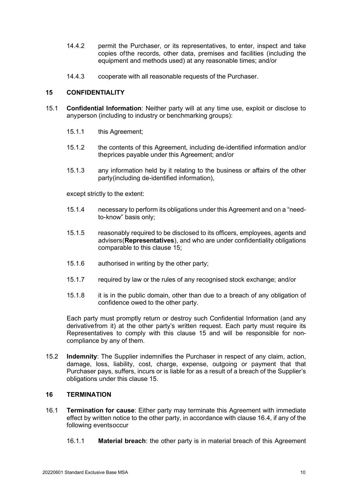- 14.4.2 permit the Purchaser, or its representatives, to enter, inspect and take copies ofthe records, other data, premises and facilities (including the equipment and methods used) at any reasonable times; and/or
- 14.4.3 cooperate with all reasonable requests of the Purchaser.

### <span id="page-9-1"></span>**15 CONFIDENTIALITY**

- <span id="page-9-3"></span>15.1 **Confidential Information**: Neither party will at any time use, exploit or disclose to anyperson (including to industry or benchmarking groups):
	- 15.1.1 this Agreement;
	- 15.1.2 the contents of this Agreement, including de-identified information and/or theprices payable under this Agreement; and/or
	- 15.1.3 any information held by it relating to the business or affairs of the other party(including de-identified information),

except strictly to the extent:

- 15.1.4 necessary to perform its obligations under this Agreement and on a "needto-know" basis only;
- 15.1.5 reasonably required to be disclosed to its officers, employees, agents and advisers(**Representatives**), and who are under confidentiality obligations comparable to this clause [15;](#page-9-1)
- 15.1.6 authorised in writing by the other party;
- 15.1.7 required by law or the rules of any recognised stock exchange; and/or
- 15.1.8 it is in the public domain, other than due to a breach of any obligation of confidence owed to the other party.

Each party must promptly return or destroy such Confidential Information (and any derivativefrom it) at the other party's written request. Each party must require its Representatives to comply with this clause [15](#page-9-1) and will be responsible for noncompliance by any of them.

15.2 **Indemnity**: The Supplier indemnifies the Purchaser in respect of any claim, action, damage, loss, liability, cost, charge, expense, outgoing or payment that that Purchaser pays, suffers, incurs or is liable for as a result of a breach of the Supplier's obligations under this clause [15.](#page-9-1)

### <span id="page-9-0"></span>**16 TERMINATION**

- <span id="page-9-2"></span>16.1 **Termination for cause**: Either party may terminate this Agreement with immediate effect by written notice to the other party, in accordance with claus[e 16.4,](#page-10-0) if any of the following eventsoccur
	- 16.1.1 **Material breach**: the other party is in material breach of this Agreement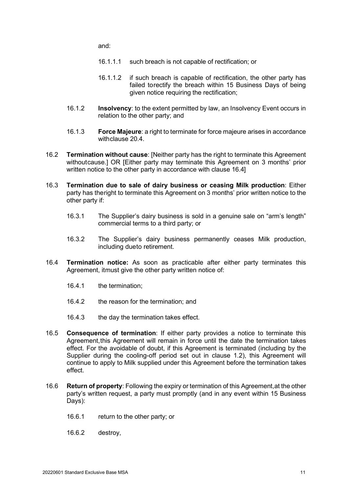and:

- 16.1.1.1 such breach is not capable of rectification; or
- 16.1.1.2 if such breach is capable of rectification, the other party has failed torectify the breach within 15 Business Days of being given notice requiring the rectification;
- 16.1.2 **Insolvency**: to the extent permitted by law, an Insolvency Event occurs in relation to the other party; and
- 16.1.3 **Force Majeure**: a right to terminate for force majeure arises in accordance withclause [20.4.](#page-14-1)
- 16.2 **Termination without cause**: [Neither party has the right to terminate this Agreement withoutcause.] OR [Either party may terminate this Agreement on 3 months' prior written notice to the other party in accordance with clause [16.4\]](#page-10-0)
- 16.3 **Termination due to sale of dairy business or ceasing Milk production**: Either party has theright to terminate this Agreement on 3 months' prior written notice to the other party if:
	- 16.3.1 The Supplier's dairy business is sold in a genuine sale on "arm's length" commercial terms to a third party; or
	- 16.3.2 The Supplier's dairy business permanently ceases Milk production, including dueto retirement.
- <span id="page-10-0"></span>16.4 **Termination notice:** As soon as practicable after either party terminates this Agreement, itmust give the other party written notice of:
	- 16.4.1 the termination;
	- 16.4.2 the reason for the termination; and
	- 16.4.3 the day the termination takes effect.
- 16.5 **Consequence of termination**: If either party provides a notice to terminate this Agreement,this Agreement will remain in force until the date the termination takes effect. For the avoidable of doubt, if this Agreement is terminated (including by the Supplier during the cooling-off period set out in clause [1.2\)](#page-1-3), this Agreement will continue to apply to Milk supplied under this Agreement before the termination takes effect.
- <span id="page-10-1"></span>16.6 **Return of property**: Following the expiry or termination of this Agreement,at the other party's written request, a party must promptly (and in any event within 15 Business Days):
	- 16.6.1 return to the other party; or
	- 16.6.2 destroy,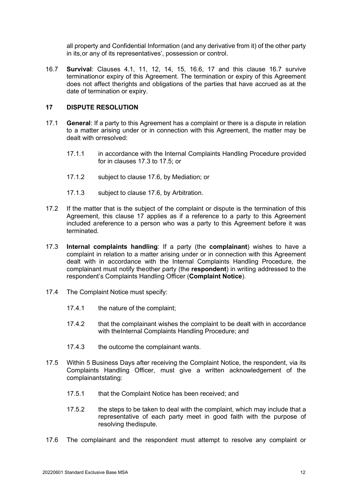all property and Confidential Information (and any derivative from it) of the other party in its,or any of its representatives', possession or control.

<span id="page-11-1"></span>16.7 **Survival**: Clauses [4.1,](#page-2-0) [11,](#page-7-1) [12,](#page-7-2) [14,](#page-8-2) [15,](#page-9-1) [16.6,](#page-10-1) [17](#page-11-0) and this clause [16.7](#page-11-1) survive terminationor expiry of this Agreement. The termination or expiry of this Agreement does not affect therights and obligations of the parties that have accrued as at the date of termination or expiry.

# <span id="page-11-0"></span>**17 DISPUTE RESOLUTION**

- 17.1 **General**: If a party to this Agreement has a complaint or there is a dispute in relation to a matter arising under or in connection with this Agreement, the matter may be dealt with orresolved:
	- 17.1.1 in accordance with the Internal Complaints Handling Procedure provided for in clauses [17.3](#page-11-2) to [17.5;](#page-11-3) or
	- 17.1.2 subject to clause [17.6,](#page-11-4) by Mediation; or
	- 17.1.3 subject to clause [17.6,](#page-11-4) by Arbitration.
- 17.2 If the matter that is the subject of the complaint or dispute is the termination of this Agreement, this clause [17](#page-11-0) applies as if a reference to a party to this Agreement included areference to a person who was a party to this Agreement before it was terminated.
- <span id="page-11-2"></span>17.3 **Internal complaints handling**: If a party (the **complainant**) wishes to have a complaint in relation to a matter arising under or in connection with this Agreement dealt with in accordance with the Internal Complaints Handling Procedure, the complainant must notify theother party (the **respondent**) in writing addressed to the respondent's Complaints Handling Officer (**Complaint Notice**).
- 17.4 The Complaint Notice must specify:
	- 17.4.1 the nature of the complaint;
	- 17.4.2 that the complainant wishes the complaint to be dealt with in accordance with theInternal Complaints Handling Procedure; and
	- 17.4.3 the outcome the complainant wants.
- <span id="page-11-3"></span>17.5 Within 5 Business Days after receiving the Complaint Notice, the respondent, via its Complaints Handling Officer, must give a written acknowledgement of the complainantstating:
	- 17.5.1 that the Complaint Notice has been received; and
	- 17.5.2 the steps to be taken to deal with the complaint, which may include that a representative of each party meet in good faith with the purpose of resolving thedispute.
- <span id="page-11-4"></span>17.6 The complainant and the respondent must attempt to resolve any complaint or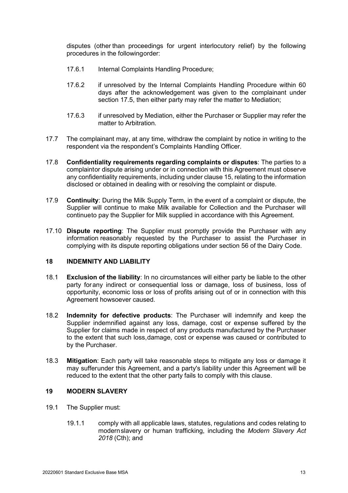disputes (other than proceedings for urgent interlocutory relief) by the following procedures in the followingorder:

- 17.6.1 Internal Complaints Handling Procedure;
- 17.6.2 if unresolved by the Internal Complaints Handling Procedure within 60 days after the acknowledgement was given to the complainant under section 17.5, then either party may refer the matter to Mediation;
- 17.6.3 if unresolved by Mediation, either the Purchaser or Supplier may refer the matter to Arbitration.
- 17.7 The complainant may, at any time, withdraw the complaint by notice in writing to the respondent via the respondent's Complaints Handling Officer.
- 17.8 **Confidentiality requirements regarding complaints or disputes**: The parties to a complaintor dispute arising under or in connection with this Agreement must observe any confidentiality requirements, including under claus[e 15,](#page-9-1) relating to the information disclosed or obtained in dealing with or resolving the complaint or dispute.
- 17.9 **Continuity**: During the Milk Supply Term, in the event of a complaint or dispute, the Supplier will continue to make Milk available for Collection and the Purchaser will continueto pay the Supplier for Milk supplied in accordance with this Agreement.
- 17.10 **Dispute reporting**: The Supplier must promptly provide the Purchaser with any information reasonably requested by the Purchaser to assist the Purchaser in complying with its dispute reporting obligations under section 56 of the Dairy Code.

### **18 INDEMNITY AND LIABILITY**

- 18.1 **Exclusion of the liability**: In no circumstances will either party be liable to the other party forany indirect or consequential loss or damage, loss of business, loss of opportunity, economic loss or loss of profits arising out of or in connection with this Agreement howsoever caused.
- 18.2 **Indemnity for defective products**: The Purchaser will indemnify and keep the Supplier indemnified against any loss, damage, cost or expense suffered by the Supplier for claims made in respect of any products manufactured by the Purchaser to the extent that such loss,damage, cost or expense was caused or contributed to by the Purchaser.
- 18.3 **Mitigation**: Each party will take reasonable steps to mitigate any loss or damage it may sufferunder this Agreement, and a party's liability under this Agreement will be reduced to the extent that the other party fails to comply with this clause.

### <span id="page-12-0"></span>**19 MODERN SLAVERY**

- 19.1 The Supplier must:
	- 19.1.1 comply with all applicable laws, statutes, regulations and codes relating to modernslavery or human trafficking, including the *Modern Slavery Act 2018* (Cth); and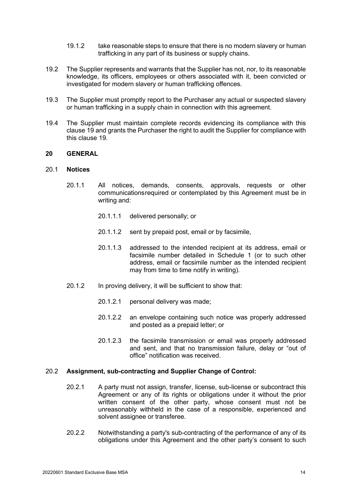- 19.1.2 take reasonable steps to ensure that there is no modern slavery or human trafficking in any part of its business or supply chains.
- 19.2 The Supplier represents and warrants that the Supplier has not, nor, to its reasonable knowledge, its officers, employees or others associated with it, been convicted or investigated for modern slavery or human trafficking offences.
- 19.3 The Supplier must promptly report to the Purchaser any actual or suspected slavery or human trafficking in a supply chain in connection with this agreement.
- 19.4 The Supplier must maintain complete records evidencing its compliance with this clause [19](#page-12-0) and grants the Purchaser the right to audit the Supplier for compliance with this clause [19.](#page-12-0)

# **20 GENERAL**

### 20.1 **Notices**

- 20.1.1 All notices, demands, consents, approvals, requests or other communicationsrequired or contemplated by this Agreement must be in writing and:
	- 20.1.1.1 delivered personally; or
	- 20.1.1.2 sent by prepaid post, email or by facsimile,
	- 20.1.1.3 addressed to the intended recipient at its address, email or facsimile number detailed in Schedule 1 (or to such other address, email or facsimile number as the intended recipient may from time to time notify in writing).
- 20.1.2 In proving delivery, it will be sufficient to show that:
	- 20.1.2.1 personal delivery was made;
	- 20.1.2.2 an envelope containing such notice was properly addressed and posted as a prepaid letter; or
	- 20.1.2.3 the facsimile transmission or email was properly addressed and sent, and that no transmission failure, delay or "out of office" notification was received.

### 20.2 **Assignment, sub-contracting and Supplier Change of Control:**

- 20.2.1 A party must not assign, transfer, license, sub-license or subcontract this Agreement or any of its rights or obligations under it without the prior written consent of the other party, whose consent must not be unreasonably withheld in the case of a responsible, experienced and solvent assignee or transferee.
- 20.2.2 Notwithstanding a party's sub-contracting of the performance of any of its obligations under this Agreement and the other party's consent to such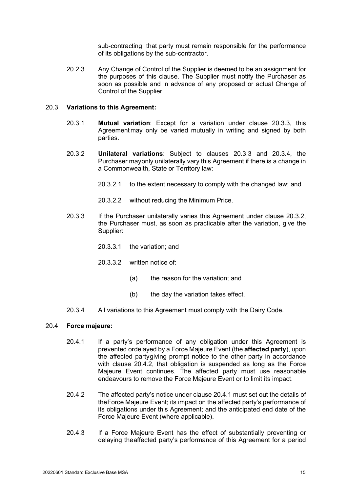sub-contracting, that party must remain responsible for the performance of its obligations by the sub-contractor.

20.2.3 Any Change of Control of the Supplier is deemed to be an assignment for the purposes of this clause. The Supplier must notify the Purchaser as soon as possible and in advance of any proposed or actual Change of Control of the Supplier.

### <span id="page-14-0"></span>20.3 **Variations to this Agreement:**

- 20.3.1 **Mutual variation**: Except for a variation under clause [20.3.3,](#page-14-2) this Agreementmay only be varied mutually in writing and signed by both parties.
- <span id="page-14-4"></span>20.3.2 **Unilateral variations**: Subject to clauses [20.3.3](#page-14-2) and [20.3.4,](#page-14-3) the Purchaser mayonly unilaterally vary this Agreement if there is a change in a Commonwealth, State or Territory law:
	- 20.3.2.1 to the extent necessary to comply with the changed law; and
	- 20.3.2.2 without reducing the Minimum Price.
- <span id="page-14-2"></span>20.3.3 If the Purchaser unilaterally varies this Agreement under clause [20.3.2,](#page-14-4) the Purchaser must, as soon as practicable after the variation, give the Supplier:
	- 20.3.3.1 the variation; and
	- 20.3.3.2 written notice of:
		- (a) the reason for the variation; and
		- $(b)$  the day the variation takes effect.
- 20.3.4 All variations to this Agreement must comply with the Dairy Code.

### <span id="page-14-6"></span><span id="page-14-3"></span><span id="page-14-1"></span>20.4 **Force majeure:**

- 20.4.1 If a party's performance of any obligation under this Agreement is prevented ordelayed by a Force Majeure Event (the **affected party**), upon the affected partygiving prompt notice to the other party in accordance with clause [20.4.2,](#page-14-5) that obligation is suspended as long as the Force Majeure Event continues. The affected party must use reasonable endeavours to remove the Force Majeure Event or to limit its impact.
- <span id="page-14-5"></span>20.4.2 The affected party's notice under clause [20.4.1](#page-14-6) must set out the details of theForce Majeure Event; its impact on the affected party's performance of its obligations under this Agreement; and the anticipated end date of the Force Majeure Event (where applicable).
- 20.4.3 If a Force Majeure Event has the effect of substantially preventing or delaying theaffected party's performance of this Agreement for a period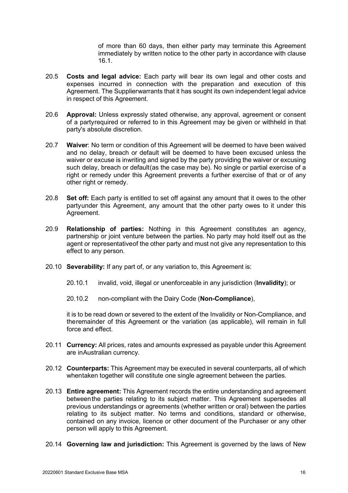of more than 60 days, then either party may terminate this Agreement immediately by written notice to the other party in accordance with clause [16.1.](#page-9-2)

- 20.5 **Costs and legal advice:** Each party will bear its own legal and other costs and expenses incurred in connection with the preparation and execution of this Agreement. The Supplierwarrants that it has sought its own independent legal advice in respect of this Agreement.
- 20.6 **Approval:** Unless expressly stated otherwise, any approval, agreement or consent of a partyrequired or referred to in this Agreement may be given or withheld in that party's absolute discretion.
- 20.7 **Waiver**: No term or condition of this Agreement will be deemed to have been waived and no delay, breach or default will be deemed to have been excused unless the waiver or excuse is inwriting and signed by the party providing the waiver or excusing such delay, breach or default(as the case may be). No single or partial exercise of a right or remedy under this Agreement prevents a further exercise of that or of any other right or remedy.
- 20.8 **Set off:** Each party is entitled to set off against any amount that it owes to the other partyunder this Agreement, any amount that the other party owes to it under this Agreement.
- 20.9 **Relationship of parties:** Nothing in this Agreement constitutes an agency, partnership or joint venture between the parties. No party may hold itself out as the agent or representativeof the other party and must not give any representation to this effect to any person.
- 20.10 **Severability:** If any part of, or any variation to, this Agreement is:
	- 20.10.1 invalid, void, illegal or unenforceable in any jurisdiction (**Invalidity**); or
	- 20.10.2 non-compliant with the Dairy Code (**Non-Compliance**),

it is to be read down or severed to the extent of the Invalidity or Non-Compliance, and theremainder of this Agreement or the variation (as applicable), will remain in full force and effect.

- 20.11 **Currency:** All prices, rates and amounts expressed as payable under this Agreement are inAustralian currency.
- 20.12 **Counterparts:** This Agreement may be executed in several counterparts, all of which whentaken together will constitute one single agreement between the parties.
- 20.13 **Entire agreement:** This Agreement records the entire understanding and agreement betweenthe parties relating to its subject matter. This Agreement supersedes all previous understandings or agreements (whether written or oral) between the parties relating to its subject matter. No terms and conditions, standard or otherwise, contained on any invoice, licence or other document of the Purchaser or any other person will apply to this Agreement.
- 20.14 **Governing law and jurisdiction:** This Agreement is governed by the laws of New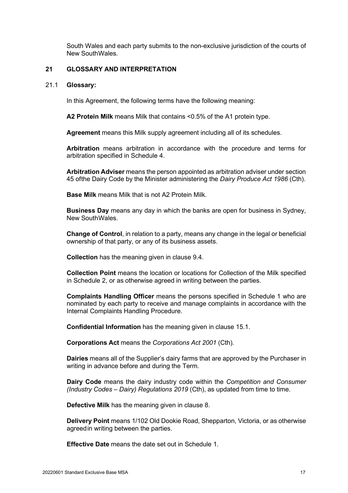South Wales and each party submits to the non-exclusive jurisdiction of the courts of New SouthWales.

### **21 GLOSSARY AND INTERPRETATION**

#### 21.1 **Glossary:**

In this Agreement, the following terms have the following meaning:

**A2 Protein Milk** means Milk that contains <0.5% of the A1 protein type.

**Agreement** means this Milk supply agreement including all of its schedules.

**Arbitration** means arbitration in accordance with the procedure and terms for arbitration specified in Schedule 4.

**Arbitration Adviser** means the person appointed as arbitration adviser under section 45 ofthe Dairy Code by the Minister administering the *Dairy Produce Act 1986* (Cth).

**Base Milk** means Milk that is not A2 Protein Milk.

**Business Day** means any day in which the banks are open for business in Sydney, New SouthWales.

**Change of Control**, in relation to a party, means any change in the legal or beneficial ownership of that party, or any of its business assets.

**Collection** has the meaning given in clause [9.4.](#page-5-0)

**Collection Point** means the location or locations for Collection of the Milk specified in Schedule 2, or as otherwise agreed in writing between the parties.

**Complaints Handling Officer** means the persons specified in Schedule 1 who are nominated by each party to receive and manage complaints in accordance with the Internal Complaints Handling Procedure.

**Confidential Information** has the meaning given in clause [15.1.](#page-9-3)

**Corporations Act** means the *Corporations Act 2001* (Cth).

**Dairies** means all of the Supplier's dairy farms that are approved by the Purchaser in writing in advance before and during the Term.

**Dairy Code** means the dairy industry code within the *Competition and Consumer (Industry Codes – Dairy) Regulations 2019* (Cth), as updated from time to time.

**Defective Milk** has the meaning given in clause [8.](#page-4-2)

**Delivery Point** means 1/102 Old Dookie Road, Shepparton, Victoria, or as otherwise agreedin writing between the parties.

**Effective Date** means the date set out in Schedule 1.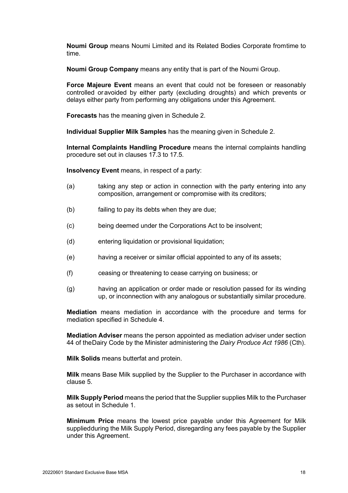**Noumi Group** means Noumi Limited and its Related Bodies Corporate fromtime to time.

**Noumi Group Company** means any entity that is part of the Noumi Group.

**Force Majeure Event** means an event that could not be foreseen or reasonably controlled oravoided by either party (excluding droughts) and which prevents or delays either party from performing any obligations under this Agreement.

**Forecasts** has the meaning given in Schedule 2.

**Individual Supplier Milk Samples** has the meaning given in Schedule 2.

**Internal Complaints Handling Procedure** means the internal complaints handling procedure set out in clauses [17.3](#page-11-2) to [17.5.](#page-11-3)

**Insolvency Event** means, in respect of a party:

- (a) taking any step or action in connection with the party entering into any composition, arrangement or compromise with its creditors;
- (b) failing to pay its debts when they are due;
- (c) being deemed under the Corporations Act to be insolvent;
- (d) entering liquidation or provisional liquidation;
- (e) having a receiver or similar official appointed to any of its assets;
- (f) ceasing or threatening to cease carrying on business; or
- (g) having an application or order made or resolution passed for its winding up, or inconnection with any analogous or substantially similar procedure.

**Mediation** means mediation in accordance with the procedure and terms for mediation specified in Schedule 4.

**Mediation Adviser** means the person appointed as mediation adviser under section 44 of theDairy Code by the Minister administering the *Dairy Produce Act 1986* (Cth).

**Milk Solids** means butterfat and protein.

**Milk** means Base Milk supplied by the Supplier to the Purchaser in accordance with clause [5.](#page-3-0)

**Milk Supply Period** means the period that the Supplier supplies Milk to the Purchaser as setout in Schedule 1.

**Minimum Price** means the lowest price payable under this Agreement for Milk suppliedduring the Milk Supply Period, disregarding any fees payable by the Supplier under this Agreement.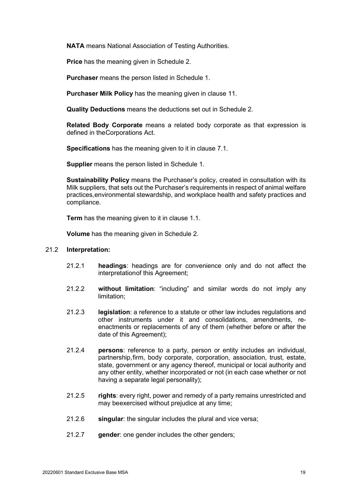**NATA** means National Association of Testing Authorities.

**Price** has the meaning given in Schedule 2.

**Purchaser** means the person listed in Schedule 1.

**Purchaser Milk Policy** has the meaning given in clause [11.](#page-7-1)

**Quality Deductions** means the deductions set out in Schedule 2.

**Related Body Corporate** means a related body corporate as that expression is defined in theCorporations Act.

**Specifications** has the meaning given to it in clause [7.1.](#page-3-1)

**Supplier** means the person listed in Schedule 1.

**Sustainability Policy** means the Purchaser's policy, created in consultation with its Milk suppliers, that sets out the Purchaser's requirements in respect of animal welfare practices,environmental stewardship, and workplace health and safety practices and compliance.

**Term** has the meaning given to it in clause [1.1.](#page-1-4)

**Volume** has the meaning given in Schedule 2.

### 21.2 **Interpretation:**

- 21.2.1 **headings**: headings are for convenience only and do not affect the interpretationof this Agreement;
- 21.2.2 **without limitation**: "including" and similar words do not imply any limitation;
- 21.2.3 **legislation**: a reference to a statute or other law includes regulations and other instruments under it and consolidations, amendments, reenactments or replacements of any of them (whether before or after the date of this Agreement);
- 21.2.4 **persons**: reference to a party, person or entity includes an individual, partnership,firm, body corporate, corporation, association, trust, estate, state, government or any agency thereof, municipal or local authority and any other entity, whether incorporated or not (in each case whether or not having a separate legal personality);
- 21.2.5 **rights**: every right, power and remedy of a party remains unrestricted and may beexercised without prejudice at any time;
- 21.2.6 **singular**: the singular includes the plural and vice versa;
- 21.2.7 **gender**: one gender includes the other genders;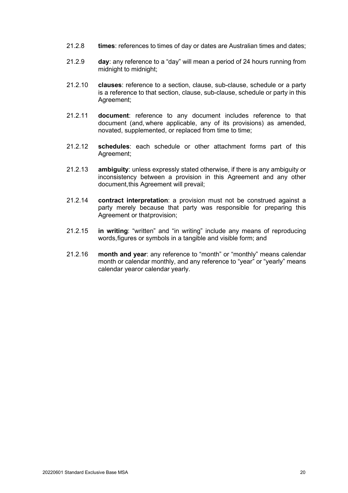- 21.2.8 **times**: references to times of day or dates are Australian times and dates;
- 21.2.9 **day**: any reference to a "day" will mean a period of 24 hours running from midnight to midnight;
- 21.2.10 **clauses**: reference to a section, clause, sub-clause, schedule or a party is a reference to that section, clause, sub-clause, schedule or party in this Agreement;
- 21.2.11 **document**: reference to any document includes reference to that document (and, where applicable, any of its provisions) as amended, novated, supplemented, or replaced from time to time;
- 21.2.12 **schedules**: each schedule or other attachment forms part of this Agreement;
- 21.2.13 **ambiguity**: unless expressly stated otherwise, if there is any ambiguity or inconsistency between a provision in this Agreement and any other document,this Agreement will prevail;
- 21.2.14 **contract interpretation**: a provision must not be construed against a party merely because that party was responsible for preparing this Agreement or thatprovision:
- 21.2.15 **in writing**: "written" and "in writing" include any means of reproducing words,figures or symbols in a tangible and visible form; and
- 21.2.16 **month and year**: any reference to "month" or "monthly" means calendar month or calendar monthly, and any reference to "year" or "yearly" means calendar yearor calendar yearly.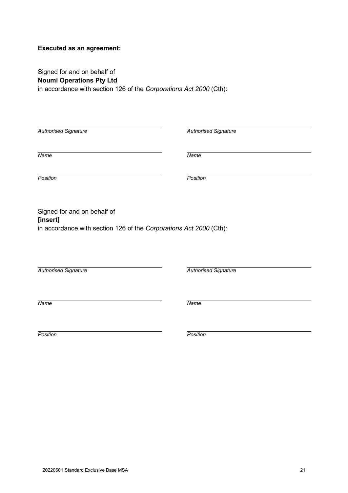# **Executed as an agreement:**

Signed for and on behalf of **Noumi Operations Pty Ltd** in accordance with section 126 of the *Corporations Act 2000* (Cth):

| <b>Authorised Signature</b>                                                                                   | <b>Authorised Signature</b> |  |
|---------------------------------------------------------------------------------------------------------------|-----------------------------|--|
| Name                                                                                                          | $N$ ame                     |  |
| Position                                                                                                      | Position                    |  |
| Signed for and on behalf of<br>[insert]<br>in accordance with section 126 of the Corporations Act 2000 (Cth): |                             |  |
| <b>Authorised Signature</b>                                                                                   | <b>Authorised Signature</b> |  |
| Name                                                                                                          | $N$ ame                     |  |
| Position                                                                                                      | Position                    |  |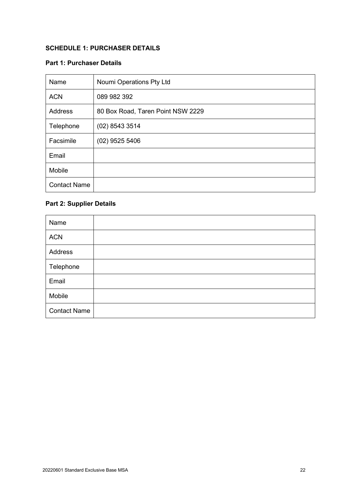# **SCHEDULE 1: PURCHASER DETAILS**

# **Part 1: Purchaser Details**

| Name                | Noumi Operations Pty Ltd          |
|---------------------|-----------------------------------|
| <b>ACN</b>          | 089 982 392                       |
| Address             | 80 Box Road, Taren Point NSW 2229 |
| Telephone           | $(02)$ 8543 3514                  |
| Facsimile           | $(02)$ 9525 5406                  |
| Email               |                                   |
| Mobile              |                                   |
| <b>Contact Name</b> |                                   |

# **Part 2: Supplier Details**

| Name                |  |
|---------------------|--|
| <b>ACN</b>          |  |
| Address             |  |
| Telephone           |  |
| Email               |  |
| Mobile              |  |
| <b>Contact Name</b> |  |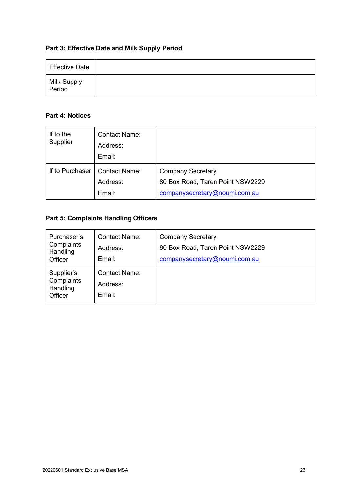# **Part 3: Effective Date and Milk Supply Period**

| <b>Effective Date</b>   |  |
|-------------------------|--|
| Milk Supply<br>  Period |  |

# **Part 4: Notices**

| If to the<br>Supplier | <b>Contact Name:</b><br>Address:<br>Email: |                                                                                               |
|-----------------------|--------------------------------------------|-----------------------------------------------------------------------------------------------|
| If to Purchaser       | <b>Contact Name:</b><br>Address:<br>Email: | <b>Company Secretary</b><br>80 Box Road, Taren Point NSW2229<br>companysecretary@noumi.com.au |

# **Part 5: Complaints Handling Officers**

| Purchaser's<br>Complaints<br>Handling<br>Officer | <b>Contact Name:</b><br>Address:<br>Email: | <b>Company Secretary</b><br>80 Box Road, Taren Point NSW2229<br>companysecretary@noumi.com.au |
|--------------------------------------------------|--------------------------------------------|-----------------------------------------------------------------------------------------------|
| Supplier's<br>Complaints<br>Handling<br>Officer  | <b>Contact Name:</b><br>Address:<br>Email: |                                                                                               |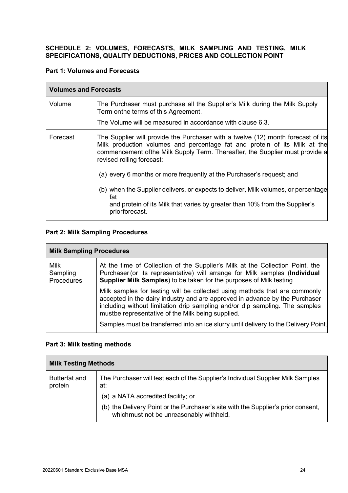# **SCHEDULE 2: VOLUMES, FORECASTS, MILK SAMPLING AND TESTING, MILK SPECIFICATIONS, QUALITY DEDUCTIONS, PRICES AND COLLECTION POINT**

# **Part 1: Volumes and Forecasts**

| <b>Volumes and Forecasts</b> |                                                                                                                                                                                                                                                                             |  |
|------------------------------|-----------------------------------------------------------------------------------------------------------------------------------------------------------------------------------------------------------------------------------------------------------------------------|--|
| Volume                       | The Purchaser must purchase all the Supplier's Milk during the Milk Supply<br>Term onthe terms of this Agreement.<br>The Volume will be measured in accordance with clause 6.3.                                                                                             |  |
| Forecast                     | The Supplier will provide the Purchaser with a twelve (12) month forecast of its<br>Milk production volumes and percentage fat and protein of its Milk at the<br>commencement of the Milk Supply Term. Thereafter, the Supplier must provide a<br>revised rolling forecast: |  |
|                              | (a) every 6 months or more frequently at the Purchaser's request; and<br>(b) when the Supplier delivers, or expects to deliver, Milk volumes, or percentage<br>fat<br>and protein of its Milk that varies by greater than 10% from the Supplier's<br>priorforecast.         |  |

# **Part 2: Milk Sampling Procedures**

| <b>Milk Sampling Procedures</b>       |                                                                                                                                                                                                                                                                                                                                                                                       |
|---------------------------------------|---------------------------------------------------------------------------------------------------------------------------------------------------------------------------------------------------------------------------------------------------------------------------------------------------------------------------------------------------------------------------------------|
| <b>Milk</b><br>Sampling<br>Procedures | At the time of Collection of the Supplier's Milk at the Collection Point, the<br>Purchaser (or its representative) will arrange for Milk samples (Individual<br>Supplier Milk Samples) to be taken for the purposes of Milk testing.                                                                                                                                                  |
|                                       | Milk samples for testing will be collected using methods that are commonly<br>accepted in the dairy industry and are approved in advance by the Purchaser<br>including without limitation drip sampling and/or dip sampling. The samples<br>mustbe representative of the Milk being supplied.<br>Samples must be transferred into an ice slurry until delivery to the Delivery Point. |

# **Part 3: Milk testing methods**

| <b>Milk Testing Methods</b>     |                                                                                                                              |
|---------------------------------|------------------------------------------------------------------------------------------------------------------------------|
| <b>Butterfat and</b><br>protein | The Purchaser will test each of the Supplier's Individual Supplier Milk Samples<br>at:                                       |
|                                 | (a) a NATA accredited facility; or                                                                                           |
|                                 | (b) the Delivery Point or the Purchaser's site with the Supplier's prior consent,<br>whichmust not be unreasonably withheld. |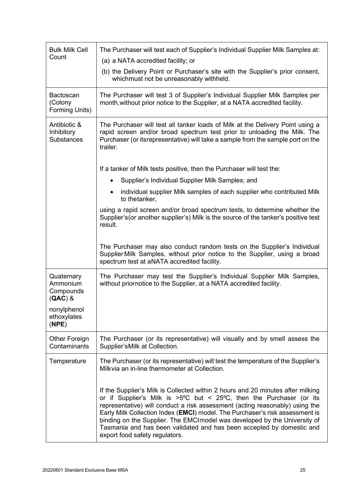| <b>Bulk Milk Cell</b><br>Count                   | The Purchaser will test each of Supplier's Individual Supplier Milk Samples at:<br>(a) a NATA accredited facility; or<br>(b) the Delivery Point or Purchaser's site with the Supplier's prior consent,<br>whichmust not be unreasonably withheld.                                                                                                                                                                                                                                                                        |
|--------------------------------------------------|--------------------------------------------------------------------------------------------------------------------------------------------------------------------------------------------------------------------------------------------------------------------------------------------------------------------------------------------------------------------------------------------------------------------------------------------------------------------------------------------------------------------------|
| <b>Bactoscan</b><br>(Colony<br>Forming Units)    | The Purchaser will test 3 of Supplier's Individual Supplier Milk Samples per<br>month, without prior notice to the Supplier, at a NATA accredited facility.                                                                                                                                                                                                                                                                                                                                                              |
| Antibiotic &<br>Inhibitory<br><b>Substances</b>  | The Purchaser will test all tanker loads of Milk at the Delivery Point using a<br>rapid screen and/or broad spectrum test prior to unloading the Milk. The<br>Purchaser (or itsrepresentative) will take a sample from the sample port on the<br>trailer.                                                                                                                                                                                                                                                                |
|                                                  | If a tanker of Milk tests positive, then the Purchaser will test the:                                                                                                                                                                                                                                                                                                                                                                                                                                                    |
|                                                  | Supplier's Individual Supplier Milk Samples; and<br>$\bullet$                                                                                                                                                                                                                                                                                                                                                                                                                                                            |
|                                                  | individual supplier Milk samples of each supplier who contributed Milk<br>$\bullet$<br>to thetanker,                                                                                                                                                                                                                                                                                                                                                                                                                     |
|                                                  | using a rapid screen and/or broad spectrum tests, to determine whether the<br>Supplier's (or another supplier's) Milk is the source of the tanker's positive test<br>result.                                                                                                                                                                                                                                                                                                                                             |
|                                                  | The Purchaser may also conduct random tests on the Supplier's Individual<br>Supplier Milk Samples, without prior notice to the Supplier, using a broad<br>spectrum test at aNATA accredited facility.                                                                                                                                                                                                                                                                                                                    |
| Quaternary<br>Ammonium<br>Compounds<br>$(QAC)$ & | The Purchaser may test the Supplier's Individual Supplier Milk Samples,<br>without priornotice to the Supplier, at a NATA accredited facility.                                                                                                                                                                                                                                                                                                                                                                           |
| nonylphenol<br>ethoxylates<br>(NPE)              |                                                                                                                                                                                                                                                                                                                                                                                                                                                                                                                          |
| <b>Other Foreign</b><br>Contaminants             | The Purchaser (or its representative) will visually and by smell assess the<br>Supplier's Milk at Collection.                                                                                                                                                                                                                                                                                                                                                                                                            |
| Temperature                                      | The Purchaser (or its representative) will test the temperature of the Supplier's<br>Milkvia an in-line thermometer at Collection.                                                                                                                                                                                                                                                                                                                                                                                       |
|                                                  | If the Supplier's Milk is Collected within 2 hours and 20 minutes after milking<br>or if Supplier's Milk is $>5^{\circ}C$ but < 25°C, then the Purchaser (or its<br>representative) will conduct a risk assessment (acting reasonably) using the<br>Early Milk Collection Index (EMCI) model. The Purchaser's risk assessment is<br>binding on the Supplier. The EMCImodel was developed by the University of<br>Tasmania and has been validated and has been accepted by domestic and<br>export food safety regulators. |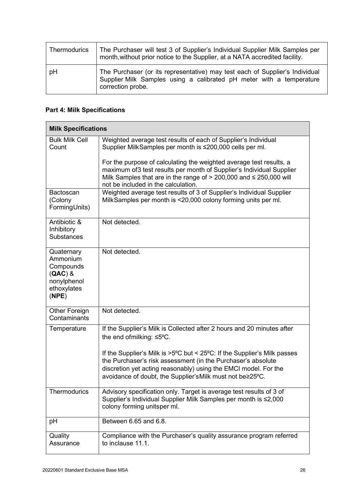| <b>Thermodurics</b> | The Purchaser will test 3 of Supplier's Individual Supplier Milk Samples per<br>month, without prior notice to the Supplier, at a NATA accredited facility.               |  |
|---------------------|---------------------------------------------------------------------------------------------------------------------------------------------------------------------------|--|
| pH                  | The Purchaser (or its representative) may test each of Supplier's Individual<br>Supplier Milk Samples using a calibrated pH meter with a temperature<br>correction probe. |  |

# **Part 4: Milk Specifications**

| <b>Milk Specifications</b>                                                              |                                                                                                                                                                                                                                                                                                                                                                                                                    |
|-----------------------------------------------------------------------------------------|--------------------------------------------------------------------------------------------------------------------------------------------------------------------------------------------------------------------------------------------------------------------------------------------------------------------------------------------------------------------------------------------------------------------|
| <b>Bulk Milk Cell</b><br>Count                                                          | Weighted average test results of each of Supplier's Individual<br>Supplier MilkSamples per month is ≤200,000 cells per ml.<br>For the purpose of calculating the weighted average test results, a<br>maximum of 3 test results per month of Supplier's Individual Supplier<br>Milk Samples that are in the range of $> 200,000$ and $\leq 250,000$ will<br>not be included in the calculation.                     |
| <b>Bactoscan</b><br>(Colony<br>FormingUnits)                                            | Weighted average test results of 3 of Supplier's Individual Supplier<br>MilkSamples per month is <20,000 colony forming units per ml.                                                                                                                                                                                                                                                                              |
| Antibiotic &<br>Inhibitory<br><b>Substances</b>                                         | Not detected.                                                                                                                                                                                                                                                                                                                                                                                                      |
| Quaternary<br>Ammonium<br>Compounds<br>$(QAC)$ &<br>nonylphenol<br>ethoxylates<br>(NPE) | Not detected.                                                                                                                                                                                                                                                                                                                                                                                                      |
| Other Foreign<br>Contaminants                                                           | Not detected.                                                                                                                                                                                                                                                                                                                                                                                                      |
| Temperature                                                                             | If the Supplier's Milk is Collected after 2 hours and 20 minutes after<br>the end of milking: $\leq 5^{\circ}$ C.<br>If the Supplier's Milk is $>5^{\circ}$ C but < 25 $^{\circ}$ C: If the Supplier's Milk passes<br>the Purchaser's risk assessment (in the Purchaser's absolute<br>discretion yet acting reasonably) using the EMCI model. For the<br>avoidance of doubt, the Supplier's Milk must not be≥25°C. |
| Thermodurics                                                                            | Advisory specification only. Target is average test results of 3 of<br>Supplier's Individual Supplier Milk Samples per month is ≤2,000<br>colony forming unitsper ml.                                                                                                                                                                                                                                              |
| pH                                                                                      | Between 6.65 and 6.8.                                                                                                                                                                                                                                                                                                                                                                                              |
| Quality<br>Assurance                                                                    | Compliance with the Purchaser's quality assurance program referred<br>to inclause 11.1.                                                                                                                                                                                                                                                                                                                            |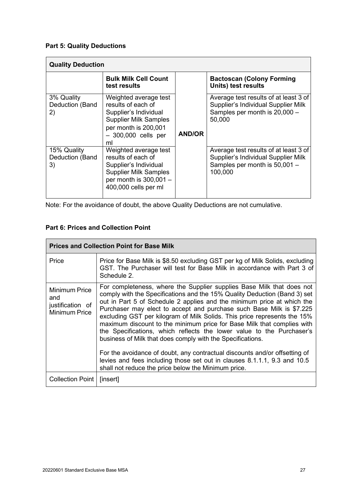# **Part 5: Quality Deductions**

| <b>Quality Deduction</b>             |                                                                                                                                                            |               |                                                                                                                          |
|--------------------------------------|------------------------------------------------------------------------------------------------------------------------------------------------------------|---------------|--------------------------------------------------------------------------------------------------------------------------|
|                                      | <b>Bulk Milk Cell Count</b><br>test results                                                                                                                |               | <b>Bactoscan (Colony Forming</b><br>Units) test results                                                                  |
| 3% Quality<br>Deduction (Band<br>2)  | Weighted average test<br>results of each of<br>Supplier's Individual<br><b>Supplier Milk Samples</b><br>per month is 200,001<br>$-300,000$ cells per<br>ml | <b>AND/OR</b> | Average test results of at least 3 of<br>Supplier's Individual Supplier Milk<br>Samples per month is 20,000 -<br>50,000  |
| 15% Quality<br>Deduction (Band<br>3) | Weighted average test<br>results of each of<br>Supplier's Individual<br><b>Supplier Milk Samples</b><br>per month is $300,001 -$<br>400,000 cells per ml   |               | Average test results of at least 3 of<br>Supplier's Individual Supplier Milk<br>Samples per month is 50,001 -<br>100,000 |

Note: For the avoidance of doubt, the above Quality Deductions are not cumulative.

# **Part 6: Prices and Collection Point**

| <b>Prices and Collection Point for Base Milk</b>                 |                                                                                                                                                                                                                                                                                                                                                                                                                                                                                                                                                                                                                                                                                                                                                                                                                    |  |
|------------------------------------------------------------------|--------------------------------------------------------------------------------------------------------------------------------------------------------------------------------------------------------------------------------------------------------------------------------------------------------------------------------------------------------------------------------------------------------------------------------------------------------------------------------------------------------------------------------------------------------------------------------------------------------------------------------------------------------------------------------------------------------------------------------------------------------------------------------------------------------------------|--|
| Price                                                            | Price for Base Milk is \$8.50 excluding GST per kg of Milk Solids, excluding<br>GST. The Purchaser will test for Base Milk in accordance with Part 3 of<br>Schedule 2.                                                                                                                                                                                                                                                                                                                                                                                                                                                                                                                                                                                                                                             |  |
| Minimum Price<br>and<br>justification of<br><b>Minimum Price</b> | For completeness, where the Supplier supplies Base Milk that does not<br>comply with the Specifications and the 15% Quality Deduction (Band 3) set<br>out in Part 5 of Schedule 2 applies and the minimum price at which the<br>Purchaser may elect to accept and purchase such Base Milk is \$7.225<br>excluding GST per kilogram of Milk Solids. This price represents the 15%<br>maximum discount to the minimum price for Base Milk that complies with<br>the Specifications, which reflects the lower value to the Purchaser's<br>business of Milk that does comply with the Specifications.<br>For the avoidance of doubt, any contractual discounts and/or offsetting of<br>levies and fees including those set out in clauses 8.1.1.1, 9.3 and 10.5<br>shall not reduce the price below the Minimum price. |  |
| Collection Point                                                 | [insert]                                                                                                                                                                                                                                                                                                                                                                                                                                                                                                                                                                                                                                                                                                                                                                                                           |  |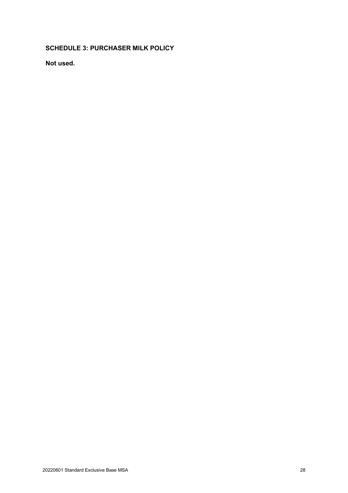# **SCHEDULE 3: PURCHASER MILK POLICY**

**Not used.**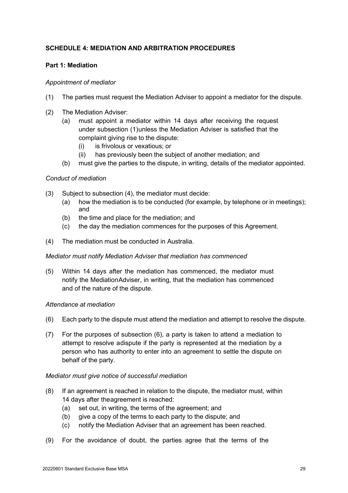# **SCHEDULE 4: MEDIATION AND ARBITRATION PROCEDURES**

# **Part 1: Mediation**

# *Appointment of mediator*

- (1) The parties must request the Mediation Adviser to appoint a mediator for the dispute.
- (2) The Mediation Adviser:
	- (a) must appoint a mediator within 14 days after receiving the request under subsection (1)unless the Mediation Adviser is satisfied that the complaint giving rise to the dispute:
		- (i) is frivolous or vexatious; or
		- (ii) has previously been the subject of another mediation; and
	- (b) must give the parties to the dispute, in writing, details of the mediator appointed.

# *Conduct of mediation*

- (3) Subject to subsection (4), the mediator must decide:
	- (a) how the mediation is to be conducted (for example, by telephone or in meetings); and
	- (b) the time and place for the mediation; and
	- (c) the day the mediation commences for the purposes of this Agreement.
- (4) The mediation must be conducted in Australia.

### *Mediator must notify Mediation Adviser that mediation has commenced*

(5) Within 14 days after the mediation has commenced, the mediator must notify the MediationAdviser, in writing, that the mediation has commenced and of the nature of the dispute.

### *Attendance at mediation*

- (6) Each party to the dispute must attend the mediation and attempt to resolve the dispute.
- (7) For the purposes of subsection (6), a party is taken to attend a mediation to attempt to resolve adispute if the party is represented at the mediation by a person who has authority to enter into an agreement to settle the dispute on behalf of the party.

### *Mediator must give notice of successful mediation*

- (8) If an agreement is reached in relation to the dispute, the mediator must, within 14 days after theagreement is reached:
	- (a) set out, in writing, the terms of the agreement; and
	- (b) give a copy of the terms to each party to the dispute; and
	- (c) notify the Mediation Adviser that an agreement has been reached.
- (9) For the avoidance of doubt, the parties agree that the terms of the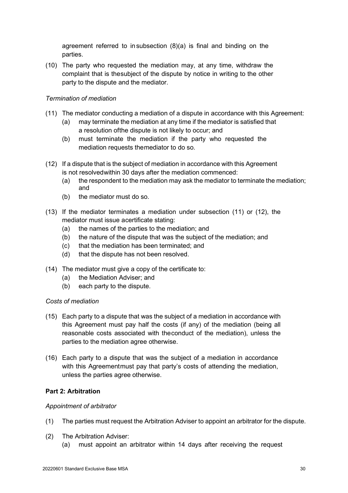agreement referred to in subsection (8)(a) is final and binding on the parties.

(10) The party who requested the mediation may, at any time, withdraw the complaint that is thesubject of the dispute by notice in writing to the other party to the dispute and the mediator.

# *Termination of mediation*

- (11) The mediator conducting a mediation of a dispute in accordance with this Agreement:
	- (a) may terminate the mediation at any time if the mediator is satisfied that a resolution ofthe dispute is not likely to occur; and
	- (b) must terminate the mediation if the party who requested the mediation requests themediator to do so.
- (12) If a dispute that is the subject of mediation in accordance with this Agreement is not resolvedwithin 30 days after the mediation commenced:
	- (a) the respondent to the mediation may ask the mediator to terminate the mediation; and
	- (b) the mediator must do so.
- (13) If the mediator terminates a mediation under subsection (11) or (12), the mediator must issue acertificate stating:
	- (a) the names of the parties to the mediation; and
	- (b) the nature of the dispute that was the subject of the mediation; and
	- (c) that the mediation has been terminated; and
	- (d) that the dispute has not been resolved.
- (14) The mediator must give a copy of the certificate to:
	- (a) the Mediation Adviser; and
	- (b) each party to the dispute.

### *Costs of mediation*

- (15) Each party to a dispute that was the subject of a mediation in accordance with this Agreement must pay half the costs (if any) of the mediation (being all reasonable costs associated with theconduct of the mediation), unless the parties to the mediation agree otherwise.
- (16) Each party to a dispute that was the subject of a mediation in accordance with this Agreementmust pay that party's costs of attending the mediation, unless the parties agree otherwise.

### **Part 2: Arbitration**

### *Appointment of arbitrator*

- (1) The parties must request the Arbitration Adviser to appoint an arbitrator for the dispute.
- (2) The Arbitration Adviser:
	- (a) must appoint an arbitrator within 14 days after receiving the request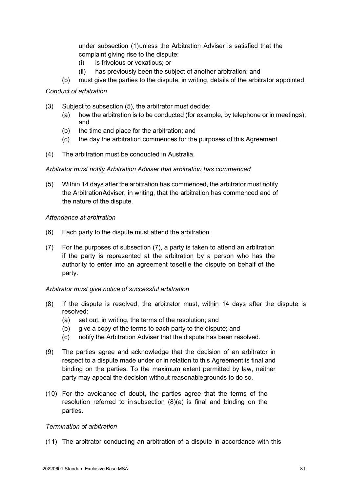under subsection (1)unless the Arbitration Adviser is satisfied that the complaint giving rise to the dispute:

- (i) is frivolous or vexatious; or
- (ii) has previously been the subject of another arbitration; and
- (b) must give the parties to the dispute, in writing, details of the arbitrator appointed.

### *Conduct of arbitration*

- (3) Subject to subsection (5), the arbitrator must decide:
	- (a) how the arbitration is to be conducted (for example, by telephone or in meetings); and
	- (b) the time and place for the arbitration; and
	- (c) the day the arbitration commences for the purposes of this Agreement.
- (4) The arbitration must be conducted in Australia.

### *Arbitrator must notify Arbitration Adviser that arbitration has commenced*

(5) Within 14 days after the arbitration has commenced, the arbitrator must notify the ArbitrationAdviser, in writing, that the arbitration has commenced and of the nature of the dispute.

### *Attendance at arbitration*

- (6) Each party to the dispute must attend the arbitration.
- (7) For the purposes of subsection (7), a party is taken to attend an arbitration if the party is represented at the arbitration by a person who has the authority to enter into an agreement tosettle the dispute on behalf of the party.

# *Arbitrator must give notice of successful arbitration*

- (8) If the dispute is resolved, the arbitrator must, within 14 days after the dispute is resolved:
	- (a) set out, in writing, the terms of the resolution; and
	- (b) give a copy of the terms to each party to the dispute; and
	- (c) notify the Arbitration Adviser that the dispute has been resolved.
- (9) The parties agree and acknowledge that the decision of an arbitrator in respect to a dispute made under or in relation to this Agreement is final and binding on the parties. To the maximum extent permitted by law, neither party may appeal the decision without reasonablegrounds to do so.
- (10) For the avoidance of doubt, the parties agree that the terms of the resolution referred to in subsection (8)(a) is final and binding on the parties.

### *Termination of arbitration*

(11) The arbitrator conducting an arbitration of a dispute in accordance with this